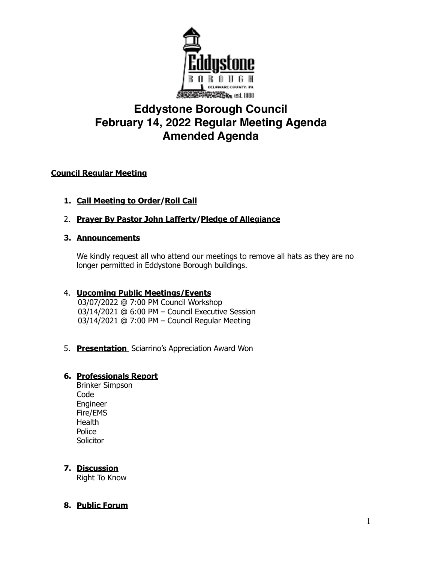

# **Eddystone Borough Council February 14, 2022 Regular Meeting Agenda Amended Agenda**

### **Council Regular Meeting**

- **1. Call Meeting to Order/Roll Call**
- 2. **Prayer By Pastor John Lafferty/Pledge of Allegiance**

#### **3. Announcements**

We kindly request all who attend our meetings to remove all hats as they are no longer permitted in Eddystone Borough buildings.

## 4. **Upcoming Public Meetings/Events**

 03/07/2022 @ 7:00 PM Council Workshop 03/14/2021 @ 6:00 PM – Council Executive Session 03/14/2021 @ 7:00 PM – Council Regular Meeting

5. **Presentation** Sciarrino's Appreciation Award Won

## **6. Professionals Report**

Brinker Simpson Code Engineer Fire/EMS **Health** Police **Solicitor** 

### **7. Discussion**

Right To Know

### **8. Public Forum**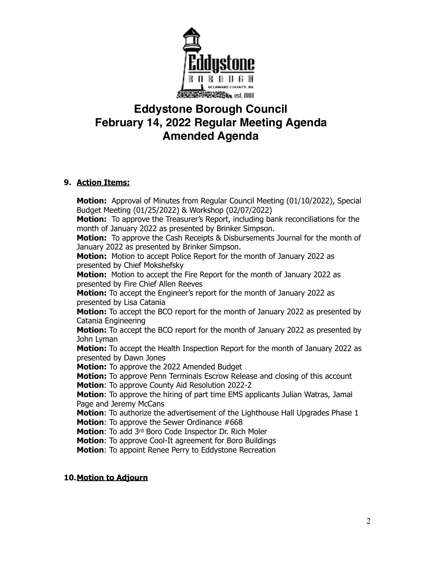

# **Eddystone Borough Council February 14, 2022 Regular Meeting Agenda Amended Agenda**

#### **9. Action Items:**

**Motion:** Approval of Minutes from Regular Council Meeting (01/10/2022), Special Budget Meeting (01/25/2022) & Workshop (02/07/2022) **Motion:** To approve the Treasurer's Report, including bank reconciliations for the month of January 2022 as presented by Brinker Simpson. **Motion:** To approve the Cash Receipts & Disbursements Journal for the month of January 2022 as presented by Brinker Simpson. **Motion:** Motion to accept Police Report for the month of January 2022 as presented by Chief Mokshefsky **Motion:** Motion to accept the Fire Report for the month of January 2022 as presented by Fire Chief Allen Reeves **Motion:** To accept the Engineer's report for the month of January 2022 as presented by Lisa Catania **Motion:** To accept the BCO report for the month of January 2022 as presented by Catania Engineering **Motion:** To accept the BCO report for the month of January 2022 as presented by John Lyman **Motion:** To accept the Health Inspection Report for the month of January 2022 as presented by Dawn Jones **Motion:** To approve the 2022 Amended Budget **Motion:** To approve Penn Terminals Escrow Release and closing of this account **Motion**: To approve County Aid Resolution 2022-2 **Motion**: To approve the hiring of part time EMS applicants Julian Watras, Jamal Page and Jeremy McCans **Motion**: To authorize the advertisement of the Lighthouse Hall Upgrades Phase 1 **Motion**: To approve the Sewer Ordinance #668 **Motion**: To add 3rd Boro Code Inspector Dr. Rich Moler **Motion**: To approve Cool-It agreement for Boro Buildings **Motion**: To appoint Renee Perry to Eddystone Recreation

#### **10.Motion to Adjourn**